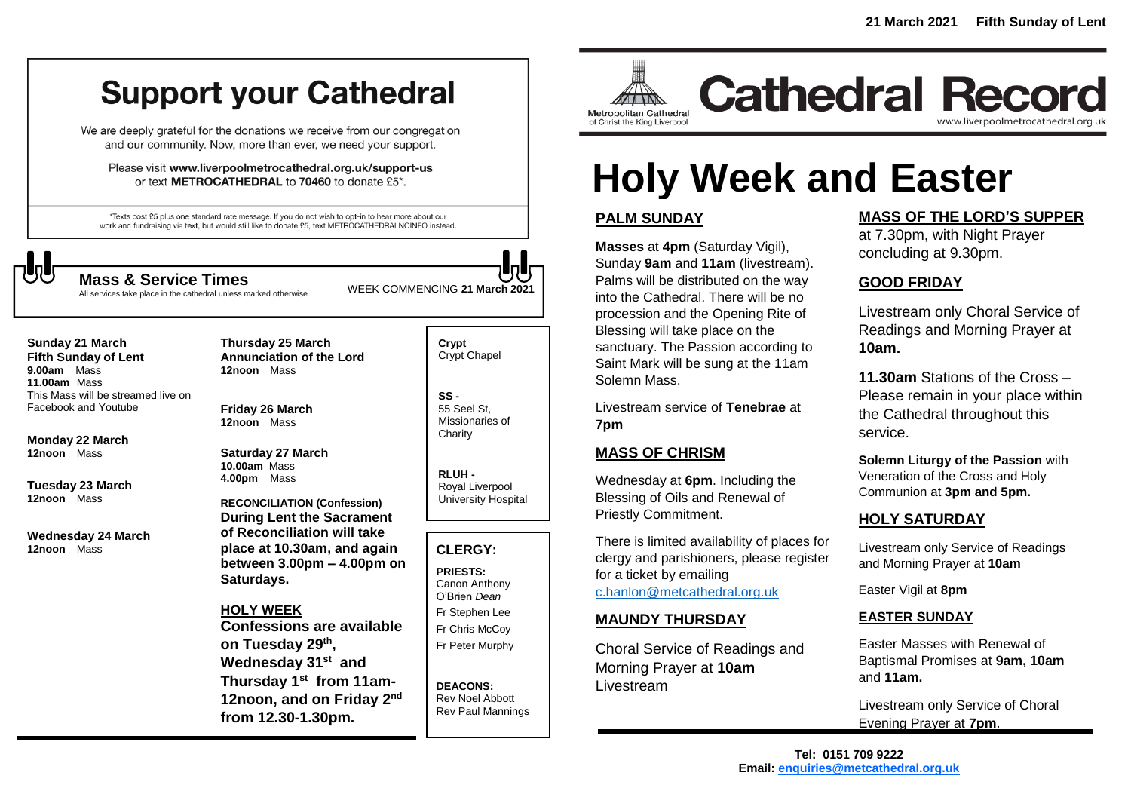# **Support your Cathedral**

We are deeply grateful for the donations we receive from our congregation and our community. Now, more than ever, we need your support.

Please visit www.liverpoolmetrocathedral.org.uk/support-us or text METROCATHEDRAL to 70460 to donate £5\*.

\*Texts cost £5 plus one standard rate message. If you do not wish to opt-in to hear more about our work and fundraising via text, but would still like to donate £5, text METROCATHEDRALNOINFO instead.



WEEK COMMENCING **<sup>21</sup> March <sup>2021</sup> Mass & Service Times**

All services take place in the cathedral unless marked otherwise

**Sunday 21 March Fifth Sunday of Lent 9.00am** Mass **11.00am** Mass This Mass will be streamed live on Facebook and Youtube

**Monday 22 March 12noon** Mass

**Tuesday 23 March 12noon** Mass

**Wednesday 24 March 12noon** Mass

**Thursday 25 March Annunciation of the Lord 12noon** Mass

**Friday 26 March 12noon** Mass

**Saturday 27 March 10.00am** Mass **4.00pm** Mass

**RECONCILIATION (Confession) During Lent the Sacrament of Reconciliation will take place at 10.30am, and again between 3.00pm – 4.00pm on Saturdays.**

**HOLY WEEK Confessions are available on Tuesday 29th , Wednesday 31st and Thursday 1 st from 11am-**12noon, and on Friday 2<sup>nd</sup> **from 12.30-1.30pm.**

**Crypt**  Crypt Chapel

**SS -** 55 Seel St, Missionaries of **Charity** 

**RLUH -** Royal Liverpool University Hospital

## **CLERGY:**

**PRIESTS:** Canon Anthony O'Brien *Dean* Fr Stephen Lee Fr Chris McCoy Fr Peter Murphy

**DEACONS:** Rev Noel Abbott Rev Paul Mannings



**Cathedral Record** www.liverpoolmetrocathedral.org.uk

# **Holy Week and Easter**

# **PALM SUNDAY**

**Masses** at **4pm** (Saturday Vigil), Sunday **9am** and **11am** (livestream). Palms will be distributed on the way into the Cathedral. There will be no procession and the Opening Rite of Blessing will take place on the sanctuary. The Passion according to Saint Mark will be sung at the 11am Solemn Mass.

Livestream service of **Tenebrae** at **7pm**

# **MASS OF CHRISM**

Wednesday at **6pm**. Including the Blessing of Oils and Renewal of Priestly Commitment.

There is limited availability of places for clergy and parishioners, please register for a ticket by emailing [c.hanlon@metcathedral.org.uk](mailto:c.hanlon@metcathedral.org.uk)

# **MAUNDY THURSDAY**

Choral Service of Readings and Morning Prayer at **10am** Livestream

### **MASS OF THE LORD'S SUPPER**

at 7.30pm, with Night Prayer concluding at 9.30pm.

## **GOOD FRIDAY**

Livestream only Choral Service of Readings and Morning Prayer at **10am.**

**11.30am** Stations of the Cross – Please remain in your place within the Cathedral throughout this service.

**Solemn Liturgy of the Passion** with Veneration of the Cross and Holy Communion at **3pm and 5pm.**

# **HOLY SATURDAY**

Livestream only Service of Readings and Morning Prayer at **10am**

Easter Vigil at **8pm**

#### **EASTER SUNDAY**

Easter Masses with Renewal of Baptismal Promises at **9am, 10am** and **11am.**

Livestream only Service of Choral Evening Prayer at **7pm**.